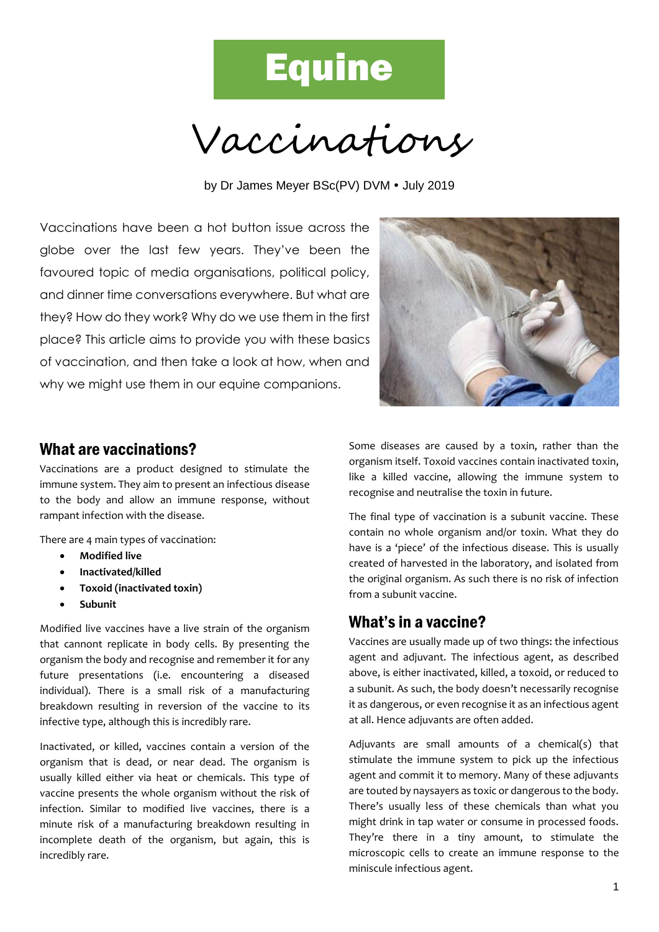# **Equine**

Vaccinations

by Dr James Meyer BSc(PV) DVM • July 2019

Vaccinations have been a hot button issue across the globe over the last few years. They've been the favoured topic of media organisations, political policy, and dinner time conversations everywhere. But what are they? How do they work? Why do we use them in the first place? This article aims to provide you with these basics of vaccination, and then take a look at how, when and why we might use them in our equine companions.



#### What are vaccinations?

Vaccinations are a product designed to stimulate the immune system. They aim to present an infectious disease to the body and allow an immune response, without rampant infection with the disease.

There are 4 main types of vaccination:

- **Modified live**
- **Inactivated/killed**
- **Toxoid (inactivated toxin)**
- **Subunit**

Modified live vaccines have a live strain of the organism that cannont replicate in body cells. By presenting the organism the body and recognise and remember it for any future presentations (i.e. encountering a diseased individual). There is a small risk of a manufacturing breakdown resulting in reversion of the vaccine to its infective type, although this is incredibly rare.

Inactivated, or killed, vaccines contain a version of the organism that is dead, or near dead. The organism is usually killed either via heat or chemicals. This type of vaccine presents the whole organism without the risk of infection. Similar to modified live vaccines, there is a minute risk of a manufacturing breakdown resulting in incomplete death of the organism, but again, this is incredibly rare.

Some diseases are caused by a toxin, rather than the organism itself. Toxoid vaccines contain inactivated toxin, like a killed vaccine, allowing the immune system to recognise and neutralise the toxin in future.

The final type of vaccination is a subunit vaccine. These contain no whole organism and/or toxin. What they do have is a 'piece' of the infectious disease. This is usually created of harvested in the laboratory, and isolated from the original organism. As such there is no risk of infection from a subunit vaccine.

#### What's in a vaccine?

Vaccines are usually made up of two things: the infectious agent and adjuvant. The infectious agent, as described above, is either inactivated, killed, a toxoid, or reduced to a subunit. As such, the body doesn't necessarily recognise it as dangerous, or even recognise it as an infectious agent at all. Hence adjuvants are often added.

Adjuvants are small amounts of a chemical(s) that stimulate the immune system to pick up the infectious agent and commit it to memory. Many of these adjuvants are touted by naysayers as toxic or dangerous to the body. There's usually less of these chemicals than what you might drink in tap water or consume in processed foods. They're there in a tiny amount, to stimulate the microscopic cells to create an immune response to the miniscule infectious agent.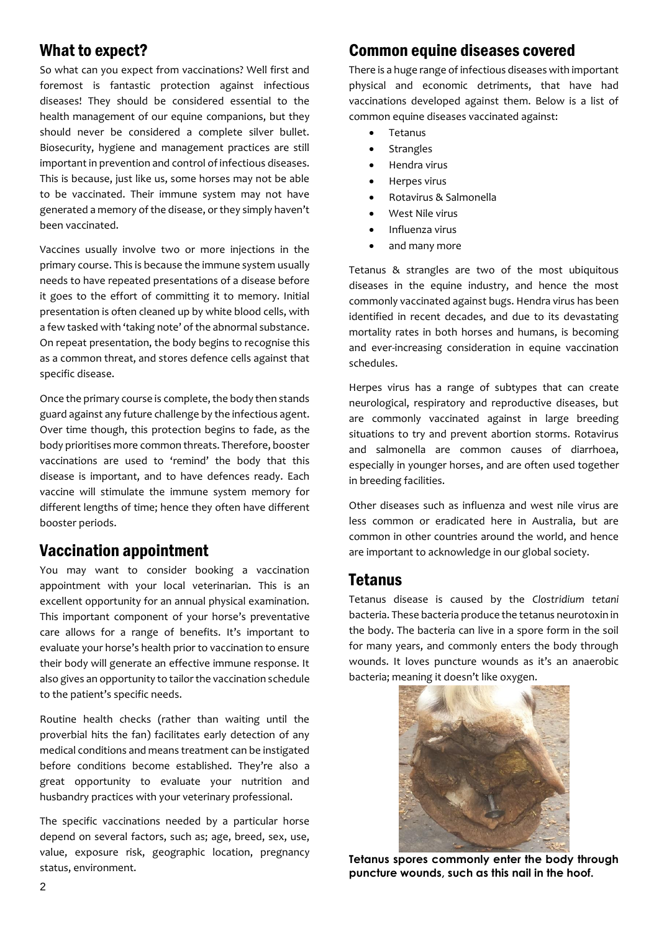### What to expect?

So what can you expect from vaccinations? Well first and foremost is fantastic protection against infectious diseases! They should be considered essential to the health management of our equine companions, but they should never be considered a complete silver bullet. Biosecurity, hygiene and management practices are still important in prevention and control of infectious diseases. This is because, just like us, some horses may not be able to be vaccinated. Their immune system may not have generated a memory of the disease, or they simply haven't been vaccinated.

Vaccines usually involve two or more injections in the primary course. This is because the immune system usually needs to have repeated presentations of a disease before it goes to the effort of committing it to memory. Initial presentation is often cleaned up by white blood cells, with a few tasked with 'taking note' of the abnormal substance. On repeat presentation, the body begins to recognise this as a common threat, and stores defence cells against that specific disease.

Once the primary course is complete, the body then stands guard against any future challenge by the infectious agent. Over time though, this protection begins to fade, as the body prioritises more common threats. Therefore, booster vaccinations are used to 'remind' the body that this disease is important, and to have defences ready. Each vaccine will stimulate the immune system memory for different lengths of time; hence they often have different booster periods.

#### Vaccination appointment

You may want to consider booking a vaccination appointment with your local veterinarian. This is an excellent opportunity for an annual physical examination. This important component of your horse's preventative care allows for a range of benefits. It's important to evaluate your horse's health prior to vaccination to ensure their body will generate an effective immune response. It also gives an opportunity to tailor the vaccination schedule to the patient's specific needs.

Routine health checks (rather than waiting until the proverbial hits the fan) facilitates early detection of any medical conditions and means treatment can be instigated before conditions become established. They're also a great opportunity to evaluate your nutrition and husbandry practices with your veterinary professional.

The specific vaccinations needed by a particular horse depend on several factors, such as; age, breed, sex, use, value, exposure risk, geographic location, pregnancy status, environment.

# Common equine diseases covered

There is a huge range of infectious diseases with important physical and economic detriments, that have had vaccinations developed against them. Below is a list of common equine diseases vaccinated against:

- Tetanus
- **Strangles**
- Hendra virus
- Herpes virus
- Rotavirus & Salmonella
- West Nile virus
- Influenza virus
- and many more

Tetanus & strangles are two of the most ubiquitous diseases in the equine industry, and hence the most commonly vaccinated against bugs. Hendra virus has been identified in recent decades, and due to its devastating mortality rates in both horses and humans, is becoming and ever-increasing consideration in equine vaccination schedules.

Herpes virus has a range of subtypes that can create neurological, respiratory and reproductive diseases, but are commonly vaccinated against in large breeding situations to try and prevent abortion storms. Rotavirus and salmonella are common causes of diarrhoea, especially in younger horses, and are often used together in breeding facilities.

Other diseases such as influenza and west nile virus are less common or eradicated here in Australia, but are common in other countries around the world, and hence are important to acknowledge in our global society.

#### **Tetanus**

Tetanus disease is caused by the *Clostridium tetani* bacteria. These bacteria produce the tetanus neurotoxin in the body. The bacteria can live in a spore form in the soil for many years, and commonly enters the body through wounds. It loves puncture wounds as it's an anaerobic bacteria; meaning it doesn't like oxygen.



**Tetanus spores commonly enter the body through puncture wounds, such as this nail in the hoof.**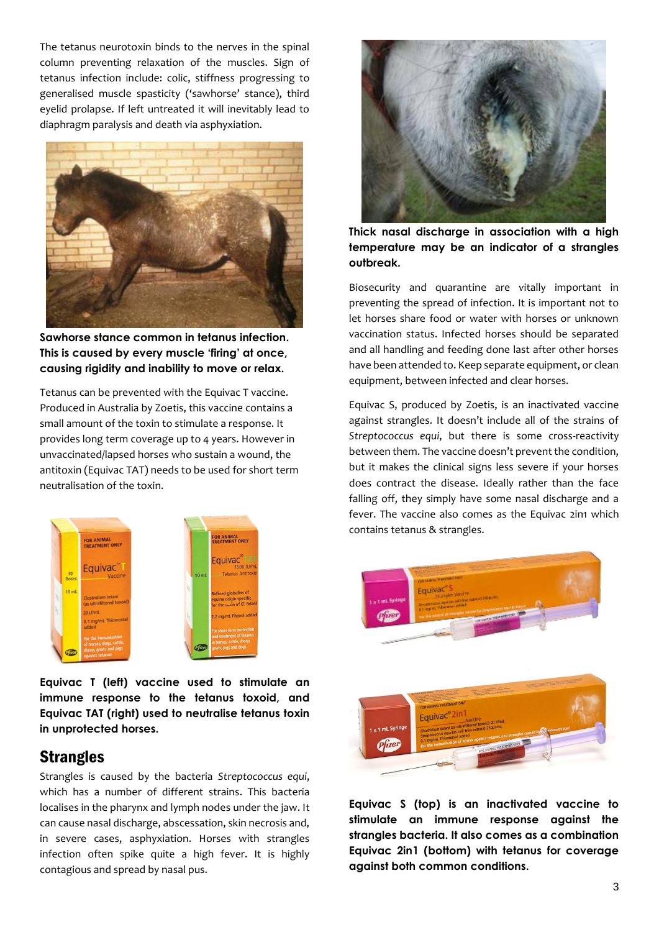The tetanus neurotoxin binds to the nerves in the spinal column preventing relaxation of the muscles. Sign of tetanus infection include: colic, stiffness progressing to generalised muscle spasticity ('sawhorse' stance), third eyelid prolapse. If left untreated it will inevitably lead to diaphragm paralysis and death via asphyxiation.



**Sawhorse stance common in tetanus infection. This is caused by every muscle 'firing' at once, causing rigidity and inability to move or relax.**

Tetanus can be prevented with the Equivac T vaccine. Produced in Australia by Zoetis, this vaccine contains a small amount of the toxin to stimulate a response. It provides long term coverage up to 4 years. However in unvaccinated/lapsed horses who sustain a wound, the antitoxin (Equivac TAT) needs to be used for short term neutralisation of the toxin.



**Equivac T (left) vaccine used to stimulate an immune response to the tetanus toxoid, and Equivac TAT (right) used to neutralise tetanus toxin in unprotected horses.**

#### **Strangles**

Strangles is caused by the bacteria *Streptococcus equi*, which has a number of different strains. This bacteria localises in the pharynx and lymph nodes under the jaw. It can cause nasal discharge, abscessation, skin necrosis and, in severe cases, asphyxiation. Horses with strangles infection often spike quite a high fever. It is highly contagious and spread by nasal pus.



**Thick nasal discharge in association with a high temperature may be an indicator of a strangles outbreak.**

Biosecurity and quarantine are vitally important in preventing the spread of infection. It is important not to let horses share food or water with horses or unknown vaccination status. Infected horses should be separated and all handling and feeding done last after other horses have been attended to. Keep separate equipment, or clean equipment, between infected and clear horses.

Equivac S, produced by Zoetis, is an inactivated vaccine against strangles. It doesn't include all of the strains of *Streptococcus equi*, but there is some cross-reactivity between them. The vaccine doesn't prevent the condition, but it makes the clinical signs less severe if your horses does contract the disease. Ideally rather than the face falling off, they simply have some nasal discharge and a fever. The vaccine also comes as the Equivac 2in1 which contains tetanus & strangles.



**Equivac S (top) is an inactivated vaccine to stimulate an immune response against the strangles bacteria. It also comes as a combination Equivac 2in1 (bottom) with tetanus for coverage against both common conditions.**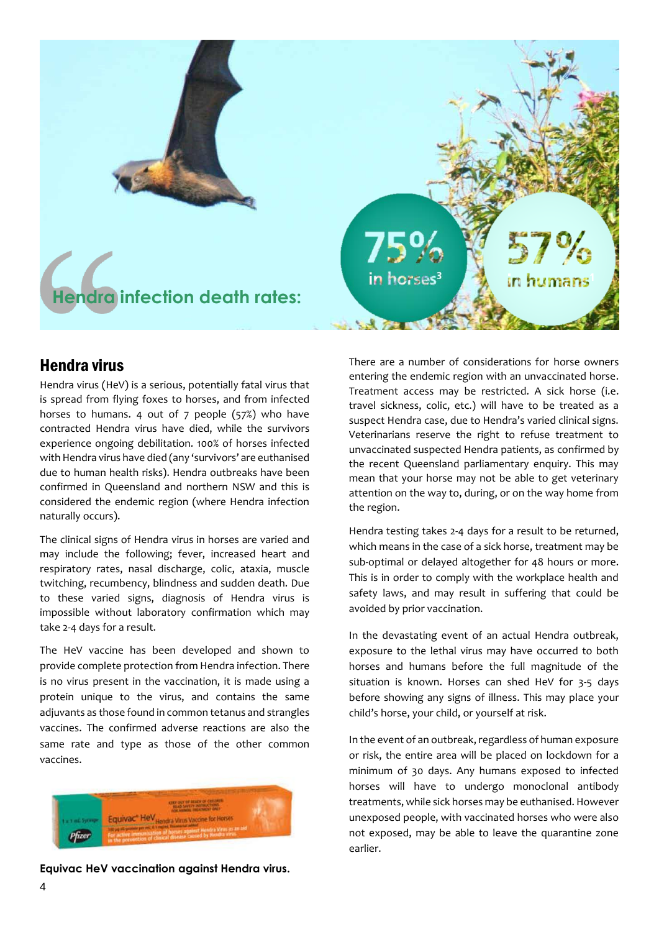

#### Hendra virus

Hendra virus (HeV) is a serious, potentially fatal virus that is spread from flying foxes to horses, and from infected horses to humans. 4 out of 7 people (57%) who have contracted Hendra virus have died, while the survivors experience ongoing debilitation. 100% of horses infected with Hendra virus have died (any 'survivors' are euthanised due to human health risks). Hendra outbreaks have been confirmed in Queensland and northern NSW and this is considered the endemic region (where Hendra infection naturally occurs).

The clinical signs of Hendra virus in horses are varied and may include the following; fever, increased heart and respiratory rates, nasal discharge, colic, ataxia, muscle twitching, recumbency, blindness and sudden death. Due to these varied signs, diagnosis of Hendra virus is impossible without laboratory confirmation which may take 2-4 days for a result.

The HeV vaccine has been developed and shown to provide complete protection from Hendra infection. There is no virus present in the vaccination, it is made using a protein unique to the virus, and contains the same adjuvants as those found in common tetanus and strangles vaccines. The confirmed adverse reactions are also the same rate and type as those of the other common vaccines.



**Equivac HeV vaccination against Hendra virus.**

There are a number of considerations for horse owners entering the endemic region with an unvaccinated horse. Treatment access may be restricted. A sick horse (i.e. travel sickness, colic, etc.) will have to be treated as a suspect Hendra case, due to Hendra's varied clinical signs. Veterinarians reserve the right to refuse treatment to unvaccinated suspected Hendra patients, as confirmed by the recent Queensland parliamentary enquiry. This may mean that your horse may not be able to get veterinary attention on the way to, during, or on the way home from the region.

Hendra testing takes 2-4 days for a result to be returned, which means in the case of a sick horse, treatment may be sub-optimal or delayed altogether for 48 hours or more. This is in order to comply with the workplace health and safety laws, and may result in suffering that could be avoided by prior vaccination.

In the devastating event of an actual Hendra outbreak, exposure to the lethal virus may have occurred to both horses and humans before the full magnitude of the situation is known. Horses can shed HeV for 3-5 days before showing any signs of illness. This may place your child's horse, your child, or yourself at risk.

In the event of an outbreak, regardless of human exposure or risk, the entire area will be placed on lockdown for a minimum of 30 days. Any humans exposed to infected horses will have to undergo monoclonal antibody treatments, while sick horses may be euthanised. However unexposed people, with vaccinated horses who were also not exposed, may be able to leave the quarantine zone earlier.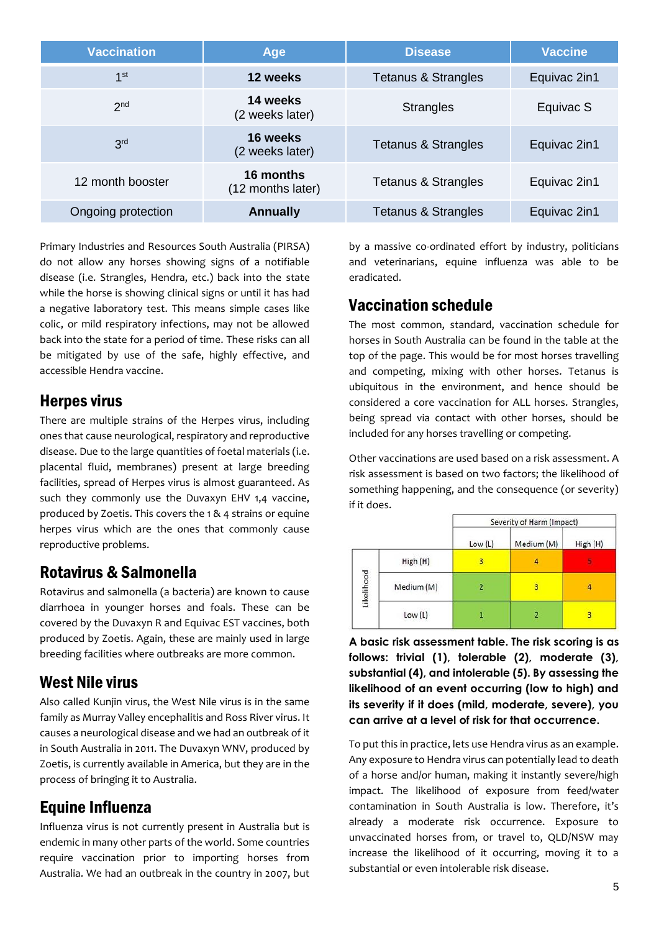| <b>Vaccination</b> | Age                            | <b>Disease</b>      | <b>Vaccine</b> |
|--------------------|--------------------------------|---------------------|----------------|
| 1 <sup>st</sup>    | 12 weeks                       | Tetanus & Strangles | Equivac 2in1   |
| 2 <sub>nd</sub>    | 14 weeks<br>(2 weeks later)    | <b>Strangles</b>    | Equivac S      |
| 3 <sup>rd</sup>    | 16 weeks<br>(2 weeks later)    | Tetanus & Strangles | Equivac 2in1   |
| 12 month booster   | 16 months<br>(12 months later) | Tetanus & Strangles | Equivac 2in1   |
| Ongoing protection | <b>Annually</b>                | Tetanus & Strangles | Equivac 2in1   |

Primary Industries and Resources South Australia (PIRSA) do not allow any horses showing signs of a notifiable disease (i.e. Strangles, Hendra, etc.) back into the state while the horse is showing clinical signs or until it has had a negative laboratory test. This means simple cases like colic, or mild respiratory infections, may not be allowed back into the state for a period of time. These risks can all be mitigated by use of the safe, highly effective, and accessible Hendra vaccine.

#### Herpes virus

There are multiple strains of the Herpes virus, including ones that cause neurological, respiratory and reproductive disease. Due to the large quantities of foetal materials (i.e. placental fluid, membranes) present at large breeding facilities, spread of Herpes virus is almost guaranteed. As such they commonly use the Duvaxyn EHV 1,4 vaccine, produced by Zoetis. This covers the 1 & 4 strains or equine herpes virus which are the ones that commonly cause reproductive problems.

#### Rotavirus & Salmonella

Rotavirus and salmonella (a bacteria) are known to cause diarrhoea in younger horses and foals. These can be covered by the Duvaxyn R and Equivac EST vaccines, both produced by Zoetis. Again, these are mainly used in large breeding facilities where outbreaks are more common.

# West Nile virus

Also called Kunjin virus, the West Nile virus is in the same family as Murray Valley encephalitis and Ross River virus. It causes a neurological disease and we had an outbreak of it in South Australia in 2011. The Duvaxyn WNV, produced by Zoetis, is currently available in America, but they are in the process of bringing it to Australia.

# Equine Influenza

Influenza virus is not currently present in Australia but is endemic in many other parts of the world. Some countries require vaccination prior to importing horses from Australia. We had an outbreak in the country in 2007, but

by a massive co-ordinated effort by industry, politicians and veterinarians, equine influenza was able to be eradicated.

# Vaccination schedule

The most common, standard, vaccination schedule for horses in South Australia can be found in the table at the top of the page. This would be for most horses travelling and competing, mixing with other horses. Tetanus is ubiquitous in the environment, and hence should be considered a core vaccination for ALL horses. Strangles, being spread via contact with other horses, should be included for any horses travelling or competing.

Other vaccinations are used based on a risk assessment. A risk assessment is based on two factors; the likelihood of something happening, and the consequence (or severity) if it does.

|            |            | Severity of Harm (Impact) |                |          |
|------------|------------|---------------------------|----------------|----------|
|            |            | Low (L)                   | Medium (M)     | High (H) |
| Likelihood | High (H)   | 3                         | 4              |          |
|            | Medium (M) | $\overline{2}$            | 3              | 4        |
|            | Low (L)    |                           | $\overline{2}$ | 3        |

**A basic risk assessment table. The risk scoring is as follows: trivial (1), tolerable (2), moderate (3), substantial (4), and intolerable (5). By assessing the likelihood of an event occurring (low to high) and its severity if it does (mild, moderate, severe), you can arrive at a level of risk for that occurrence.**

To put this in practice, lets use Hendra virus as an example. Any exposure to Hendra virus can potentially lead to death of a horse and/or human, making it instantly severe/high impact. The likelihood of exposure from feed/water contamination in South Australia is low. Therefore, it's already a moderate risk occurrence. Exposure to unvaccinated horses from, or travel to, QLD/NSW may increase the likelihood of it occurring, moving it to a substantial or even intolerable risk disease.